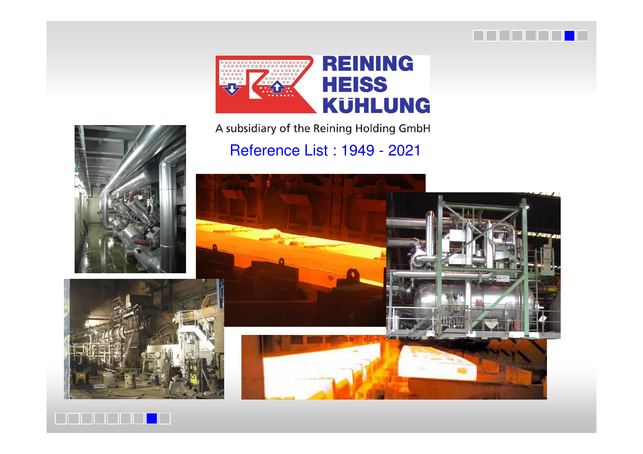



Reference List : 1949 - 2021

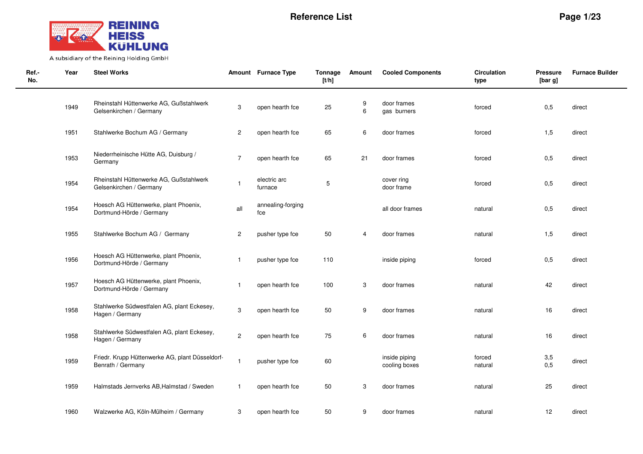

| Ref.-<br>No. | Year | <b>Steel Works</b>                                                   |                | Amount Furnace Type      | <b>Tonnage</b><br>[t/h] | Amount | <b>Cooled Components</b>       | <b>Circulation</b><br>type | <b>Pressure</b><br>[bar g] | <b>Furnace Builder</b> |
|--------------|------|----------------------------------------------------------------------|----------------|--------------------------|-------------------------|--------|--------------------------------|----------------------------|----------------------------|------------------------|
|              | 1949 | Rheinstahl Hüttenwerke AG, Gußstahlwerk<br>Gelsenkirchen / Germany   | 3              | open hearth fce          | 25                      | 9<br>6 | door frames<br>gas burners     | forced                     | 0,5                        | direct                 |
|              | 1951 | Stahlwerke Bochum AG / Germany                                       | $\overline{c}$ | open hearth fce          | 65                      | 6      | door frames                    | forced                     | 1,5                        | direct                 |
|              | 1953 | Niederrheinische Hütte AG, Duisburg /<br>Germany                     | $\overline{7}$ | open hearth fce          | 65                      | 21     | door frames                    | forced                     | 0,5                        | direct                 |
|              | 1954 | Rheinstahl Hüttenwerke AG, Gußstahlwerk<br>Gelsenkirchen / Germany   |                | electric arc<br>furnace  | 5                       |        | cover ring<br>door frame       | forced                     | 0,5                        | direct                 |
|              | 1954 | Hoesch AG Hüttenwerke, plant Phoenix,<br>Dortmund-Hörde / Germany    | all            | annealing-forging<br>fce |                         |        | all door frames                | natural                    | 0,5                        | direct                 |
|              | 1955 | Stahlwerke Bochum AG / Germany                                       | $\overline{c}$ | pusher type fce          | 50                      | 4      | door frames                    | natural                    | 1,5                        | direct                 |
|              | 1956 | Hoesch AG Hüttenwerke, plant Phoenix,<br>Dortmund-Hörde / Germany    | $\mathbf{1}$   | pusher type fce          | 110                     |        | inside piping                  | forced                     | 0,5                        | direct                 |
|              | 1957 | Hoesch AG Hüttenwerke, plant Phoenix,<br>Dortmund-Hörde / Germany    | $\mathbf{1}$   | open hearth fce          | 100                     | 3      | door frames                    | natural                    | 42                         | direct                 |
|              | 1958 | Stahlwerke Südwestfalen AG, plant Eckesey,<br>Hagen / Germany        | 3              | open hearth fce          | 50                      | 9      | door frames                    | natural                    | 16                         | direct                 |
|              | 1958 | Stahlwerke Südwestfalen AG, plant Eckesey,<br>Hagen / Germany        | $\overline{c}$ | open hearth fce          | 75                      | 6      | door frames                    | natural                    | 16                         | direct                 |
|              | 1959 | Friedr. Krupp Hüttenwerke AG, plant Düsseldorf-<br>Benrath / Germany | $\mathbf{1}$   | pusher type fce          | 60                      |        | inside piping<br>cooling boxes | forced<br>natural          | 3,5<br>0,5                 | direct                 |
|              | 1959 | Halmstads Jernverks AB, Halmstad / Sweden                            | $\overline{1}$ | open hearth fce          | 50                      | 3      | door frames                    | natural                    | 25                         | direct                 |
|              | 1960 | Walzwerke AG, Köln-Mülheim / Germany                                 | 3              | open hearth fce          | 50                      | 9      | door frames                    | natural                    | 12                         | direct                 |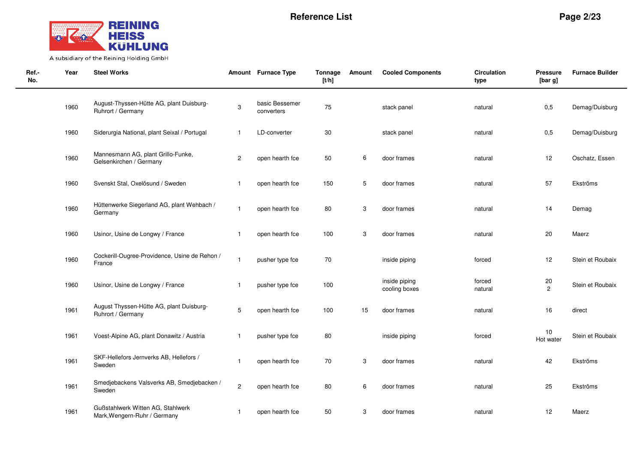

| Ref.-<br>No. | Year | <b>Steel Works</b>                                                |                | Amount Furnace Type          | Tonnage<br>[t/h] | Amount       | <b>Cooled Components</b>       | Circulation<br>type | <b>Pressure</b><br>[bar g] | <b>Furnace Builder</b> |
|--------------|------|-------------------------------------------------------------------|----------------|------------------------------|------------------|--------------|--------------------------------|---------------------|----------------------------|------------------------|
|              | 1960 | August-Thyssen-Hütte AG, plant Duisburg-<br>Ruhrort / Germany     | 3              | basic Bessemer<br>converters | 75               |              | stack panel                    | natural             | 0,5                        | Demag/Duisburg         |
|              | 1960 | Siderurgia National, plant Seixal / Portugal                      | $\overline{1}$ | LD-converter                 | 30               |              | stack panel                    | natural             | 0,5                        | Demag/Duisburg         |
|              | 1960 | Mannesmann AG, plant Grillo-Funke,<br>Gelsenkirchen / Germany     | $\overline{c}$ | open hearth fce              | 50               | 6            | door frames                    | natural             | 12                         | Oschatz, Essen         |
|              | 1960 | Svenskt Stal, Oxelösund / Sweden                                  | -1             | open hearth fce              | 150              | 5            | door frames                    | natural             | 57                         | Ekströms               |
|              | 1960 | Hüttenwerke Siegerland AG, plant Wehbach /<br>Germany             | $\overline{1}$ | open hearth fce              | 80               | 3            | door frames                    | natural             | 14                         | Demag                  |
|              | 1960 | Usinor, Usine de Longwy / France                                  | $\overline{1}$ | open hearth fce              | 100              | 3            | door frames                    | natural             | 20                         | Maerz                  |
|              | 1960 | Cockerill-Ougree-Providence, Usine de Rehon /<br>France           | $\mathbf{1}$   | pusher type fce              | 70               |              | inside piping                  | forced              | 12                         | Stein et Roubaix       |
|              | 1960 | Usinor, Usine de Longwy / France                                  | -1             | pusher type fce              | 100              |              | inside piping<br>cooling boxes | forced<br>natural   | 20<br>$\overline{2}$       | Stein et Roubaix       |
|              | 1961 | August Thyssen-Hütte AG, plant Duisburg-<br>Ruhrort / Germany     | 5              | open hearth fce              | 100              | 15           | door frames                    | natural             | 16                         | direct                 |
|              | 1961 | Voest-Alpine AG, plant Donawitz / Austria                         | -1             | pusher type fce              | 80               |              | inside piping                  | forced              | $10$<br>Hot water          | Stein et Roubaix       |
|              | 1961 | SKF-Hellefors Jernverks AB, Hellefors /<br>Sweden                 | $\overline{1}$ | open hearth fce              | 70               | $\mathbf{3}$ | door frames                    | natural             | 42                         | Ekströms               |
|              | 1961 | Smedjebackens Valsverks AB, Smedjebacken /<br>Sweden              | $\overline{2}$ | open hearth fce              | 80               | 6            | door frames                    | natural             | 25                         | Ekströms               |
|              | 1961 | Gußstahlwerk Witten AG, Stahlwerk<br>Mark, Wengern-Ruhr / Germany | -1             | open hearth fce              | 50               | 3            | door frames                    | natural             | 12                         | Maerz                  |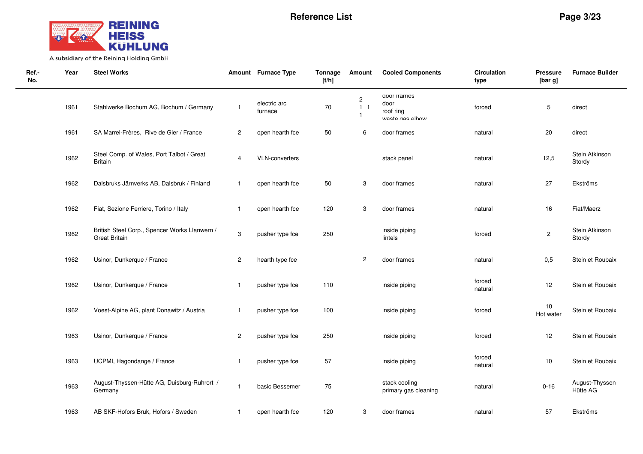

| Ref.-<br>No. | Year | <b>Steel Works</b>                                                    |                         | Amount Furnace Type     | Tonnage<br>[t/h] | Amount                                             | <b>Cooled Components</b>                            | <b>Circulation</b><br>type | <b>Pressure</b><br>[bar g] | <b>Furnace Builder</b>     |
|--------------|------|-----------------------------------------------------------------------|-------------------------|-------------------------|------------------|----------------------------------------------------|-----------------------------------------------------|----------------------------|----------------------------|----------------------------|
|              | 1961 | Stahlwerke Bochum AG, Bochum / Germany                                | $\mathbf{1}$            | electric arc<br>furnace | 70               | $\overline{c}$<br>1 <sub>1</sub><br>$\overline{1}$ | door trames<br>door<br>roof ring<br>wasta nas alhow | forced                     | 5                          | direct                     |
|              | 1961 | SA Marrel-Frères, Rive de Gier / France                               | $\overline{\mathbf{c}}$ | open hearth fce         | 50               | 6                                                  | door frames                                         | natural                    | 20                         | direct                     |
|              | 1962 | Steel Comp. of Wales, Port Talbot / Great<br><b>Britain</b>           | 4                       | <b>VLN-converters</b>   |                  |                                                    | stack panel                                         | natural                    | 12,5                       | Stein Atkinson<br>Stordy   |
|              | 1962 | Dalsbruks Järnverks AB, Dalsbruk / Finland                            | $\mathbf{1}$            | open hearth fce         | 50               | 3                                                  | door frames                                         | natural                    | 27                         | Ekströms                   |
|              | 1962 | Fiat, Sezione Ferriere, Torino / Italy                                | $\mathbf{1}$            | open hearth fce         | 120              | 3                                                  | door frames                                         | natural                    | 16                         | Fiat/Maerz                 |
|              | 1962 | British Steel Corp., Spencer Works Llanwern /<br><b>Great Britain</b> | 3                       | pusher type fce         | 250              |                                                    | inside piping<br>lintels                            | forced                     | $\overline{c}$             | Stein Atkinson<br>Stordy   |
|              | 1962 | Usinor, Dunkerque / France                                            | $\overline{\mathbf{c}}$ | hearth type fce         |                  | $\overline{c}$                                     | door frames                                         | natural                    | 0,5                        | Stein et Roubaix           |
|              | 1962 | Usinor, Dunkerque / France                                            | $\mathbf{1}$            | pusher type fce         | 110              |                                                    | inside piping                                       | forced<br>natural          | 12                         | Stein et Roubaix           |
|              | 1962 | Voest-Alpine AG, plant Donawitz / Austria                             | $\mathbf{1}$            | pusher type fce         | 100              |                                                    | inside piping                                       | forced                     | 10<br>Hot water            | Stein et Roubaix           |
|              | 1963 | Usinor, Dunkerque / France                                            | $\overline{c}$          | pusher type fce         | 250              |                                                    | inside piping                                       | forced                     | 12                         | Stein et Roubaix           |
|              | 1963 | UCPMI, Hagondange / France                                            | $\mathbf{1}$            | pusher type fce         | 57               |                                                    | inside piping                                       | forced<br>natural          | 10                         | Stein et Roubaix           |
|              | 1963 | August-Thyssen-Hütte AG, Duisburg-Ruhrort /<br>Germany                | $\overline{1}$          | basic Bessemer          | 75               |                                                    | stack cooling<br>primary gas cleaning               | natural                    | $0 - 16$                   | August-Thyssen<br>Hütte AG |
|              | 1963 | AB SKF-Hofors Bruk, Hofors / Sweden                                   | $\mathbf{1}$            | open hearth fce         | 120              | 3                                                  | door frames                                         | natural                    | 57                         | Ekströms                   |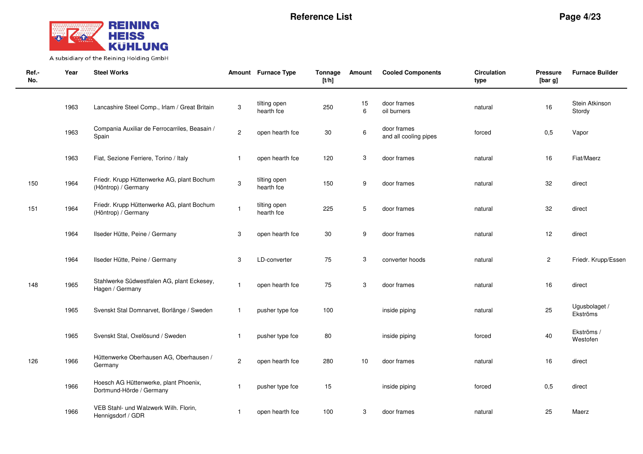

| Ref.-<br>No. | Year | <b>Steel Works</b>                                                |                | Amount Furnace Type        | Tonnage<br>[t/h] | Amount           | <b>Cooled Components</b>             | <b>Circulation</b><br>type | <b>Pressure</b><br>[bar g] | <b>Furnace Builder</b>    |
|--------------|------|-------------------------------------------------------------------|----------------|----------------------------|------------------|------------------|--------------------------------------|----------------------------|----------------------------|---------------------------|
|              | 1963 | Lancashire Steel Comp., Irlam / Great Britain                     | 3              | tilting open<br>hearth fce | 250              | 15<br>6          | door frames<br>oil burners           | natural                    | 16                         | Stein Atkinson<br>Stordy  |
|              | 1963 | Compania Auxiliar de Ferrocarriles, Beasain /<br>Spain            | $\overline{c}$ | open hearth fce            | $30\,$           | $\,6$            | door frames<br>and all cooling pipes | forced                     | 0,5                        | Vapor                     |
|              | 1963 | Fiat, Sezione Ferriere, Torino / Italy                            | $\mathbf{1}$   | open hearth fce            | 120              | 3                | door frames                          | natural                    | 16                         | Fiat/Maerz                |
| 150          | 1964 | Friedr. Krupp Hüttenwerke AG, plant Bochum<br>(Höntrop) / Germany | $\mathbf 3$    | tilting open<br>hearth fce | 150              | $\boldsymbol{9}$ | door frames                          | natural                    | 32                         | direct                    |
| 151          | 1964 | Friedr. Krupp Hüttenwerke AG, plant Bochum<br>(Höntrop) / Germany | $\mathbf{1}$   | tilting open<br>hearth fce | 225              | 5                | door frames                          | natural                    | 32                         | direct                    |
|              | 1964 | Ilseder Hütte, Peine / Germany                                    | 3              | open hearth fce            | 30               | 9                | door frames                          | natural                    | 12                         | direct                    |
|              | 1964 | Ilseder Hütte, Peine / Germany                                    | 3              | LD-converter               | 75               | 3                | converter hoods                      | natural                    | $\overline{\mathbf{c}}$    | Friedr. Krupp/Essen       |
| 148          | 1965 | Stahlwerke Südwestfalen AG, plant Eckesey,<br>Hagen / Germany     | $\overline{1}$ | open hearth fce            | 75               | 3                | door frames                          | natural                    | 16                         | direct                    |
|              | 1965 | Svenskt Stal Domnarvet, Borlänge / Sweden                         | $\mathbf{1}$   | pusher type fce            | 100              |                  | inside piping                        | natural                    | 25                         | Ugusbolaget /<br>Ekströms |
|              | 1965 | Svenskt Stal, Oxelösund / Sweden                                  | $\mathbf{1}$   | pusher type fce            | 80               |                  | inside piping                        | forced                     | 40                         | Ekströms /<br>Westofen    |
| 126          | 1966 | Hüttenwerke Oberhausen AG, Oberhausen /<br>Germany                | $\overline{2}$ | open hearth fce            | 280              | 10               | door frames                          | natural                    | 16                         | direct                    |
|              | 1966 | Hoesch AG Hüttenwerke, plant Phoenix,<br>Dortmund-Hörde / Germany | $\mathbf{1}$   | pusher type fce            | 15               |                  | inside piping                        | forced                     | 0,5                        | direct                    |
|              | 1966 | VEB Stahl- und Walzwerk Wilh. Florin,<br>Hennigsdorf / GDR        | $\mathbf{1}$   | open hearth fce            | 100              | 3                | door frames                          | natural                    | 25                         | Maerz                     |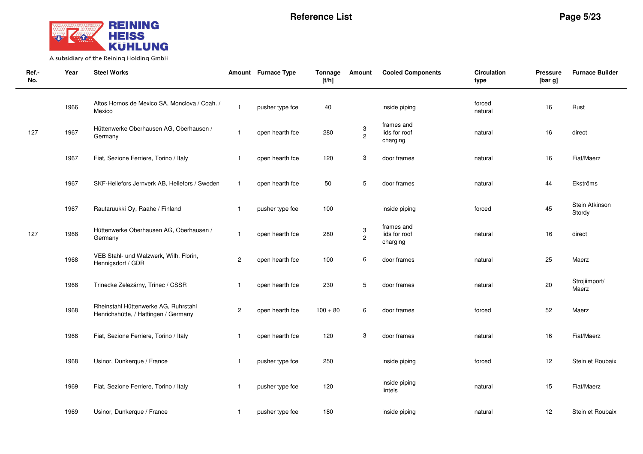

| Ref.-<br>No. | Year | <b>Steel Works</b>                                                           |                         | Amount Furnace Type | Tonnage<br>[t/h] | Amount              | <b>Cooled Components</b>                | <b>Circulation</b><br>type | <b>Pressure</b><br>[bar g] | <b>Furnace Builder</b>   |
|--------------|------|------------------------------------------------------------------------------|-------------------------|---------------------|------------------|---------------------|-----------------------------------------|----------------------------|----------------------------|--------------------------|
|              | 1966 | Altos Hornos de Mexico SA, Monclova / Coah. /<br>Mexico                      | $\mathbf{1}$            | pusher type fce     | 40               |                     | inside piping                           | forced<br>natural          | 16                         | Rust                     |
| 127          | 1967 | Hüttenwerke Oberhausen AG, Oberhausen /<br>Germany                           | $\mathbf 1$             | open hearth fce     | 280              | 3<br>$\overline{c}$ | frames and<br>lids for roof<br>charging | natural                    | 16                         | direct                   |
|              | 1967 | Fiat, Sezione Ferriere, Torino / Italy                                       | $\mathbf{1}$            | open hearth fce     | 120              | 3                   | door frames                             | natural                    | 16                         | Fiat/Maerz               |
|              | 1967 | SKF-Hellefors Jernverk AB, Hellefors / Sweden                                | $\mathbf{1}$            | open hearth fce     | 50               | 5                   | door frames                             | natural                    | 44                         | Ekströms                 |
|              | 1967 | Rautaruukki Oy, Raahe / Finland                                              | $\mathbf{1}$            | pusher type fce     | 100              |                     | inside piping                           | forced                     | 45                         | Stein Atkinson<br>Stordy |
| 127          | 1968 | Hüttenwerke Oberhausen AG, Oberhausen /<br>Germany                           | $\mathbf{1}$            | open hearth fce     | 280              | $\frac{3}{2}$       | frames and<br>lids for roof<br>charging | natural                    | 16                         | direct                   |
|              | 1968 | VEB Stahl- und Walzwerk, Wilh. Florin,<br>Hennigsdorf / GDR                  | $\overline{c}$          | open hearth fce     | 100              | 6                   | door frames                             | natural                    | 25                         | Maerz                    |
|              | 1968 | Trinecke Zelezárny, Trinec / CSSR                                            | $\mathbf{1}$            | open hearth fce     | 230              | 5                   | door frames                             | natural                    | 20                         | Strojiimport/<br>Maerz   |
|              | 1968 | Rheinstahl Hüttenwerke AG, Ruhrstahl<br>Henrichshütte, / Hattingen / Germany | $\overline{\mathbf{c}}$ | open hearth fce     | $100 + 80$       | 6                   | door frames                             | forced                     | 52                         | Maerz                    |
|              | 1968 | Fiat, Sezione Ferriere, Torino / Italy                                       | $\mathbf{1}$            | open hearth fce     | 120              | 3                   | door frames                             | natural                    | 16                         | Fiat/Maerz               |
|              | 1968 | Usinor, Dunkerque / France                                                   | $\mathbf{1}$            | pusher type fce     | 250              |                     | inside piping                           | forced                     | 12                         | Stein et Roubaix         |
|              | 1969 | Fiat, Sezione Ferriere, Torino / Italy                                       | $\mathbf{1}$            | pusher type fce     | 120              |                     | inside piping<br>lintels                | natural                    | 15                         | Fiat/Maerz               |
|              | 1969 | Usinor, Dunkerque / France                                                   | $\mathbf{1}$            | pusher type fce     | 180              |                     | inside piping                           | natural                    | 12                         | Stein et Roubaix         |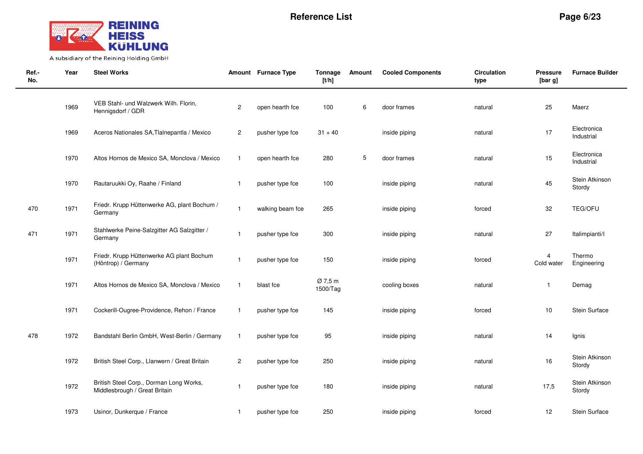

| Ref.-<br>No. | Year | <b>Steel Works</b>                                                       |                         | Amount Furnace Type | Tonnage<br>[t/h]    | Amount | <b>Cooled Components</b> | <b>Circulation</b><br>type | <b>Pressure</b><br>[bar g]   | <b>Furnace Builder</b>    |
|--------------|------|--------------------------------------------------------------------------|-------------------------|---------------------|---------------------|--------|--------------------------|----------------------------|------------------------------|---------------------------|
|              | 1969 | VEB Stahl- und Walzwerk Wilh. Florin,<br>Hennigsdorf / GDR               | $\overline{\mathbf{c}}$ | open hearth fce     | 100                 | 6      | door frames              | natural                    | 25                           | Maerz                     |
|              | 1969 | Aceros Nationales SA, Tlalnepantla / Mexico                              | $\overline{c}$          | pusher type fce     | $31 + 40$           |        | inside piping            | natural                    | 17                           | Electronica<br>Industrial |
|              | 1970 | Altos Hornos de Mexico SA, Monclova / Mexico                             | $\overline{1}$          | open hearth fce     | 280                 | 5      | door frames              | natural                    | 15                           | Electronica<br>Industrial |
|              | 1970 | Rautaruukki Oy, Raahe / Finland                                          | $\overline{\mathbf{1}}$ | pusher type fce     | 100                 |        | inside piping            | natural                    | 45                           | Stein Atkinson<br>Stordy  |
| 470          | 1971 | Friedr. Krupp Hüttenwerke AG, plant Bochum /<br>Germany                  | $\overline{1}$          | walking beam fce    | 265                 |        | inside piping            | forced                     | 32                           | <b>TEG/OFU</b>            |
| 471          | 1971 | Stahlwerke Peine-Salzgitter AG Salzgitter /<br>Germany                   | $\overline{\mathbf{1}}$ | pusher type fce     | 300                 |        | inside piping            | natural                    | 27                           | Italimpianti/I            |
|              | 1971 | Friedr. Krupp Hüttenwerke AG plant Bochum<br>(Höntrop) / Germany         | $\overline{\mathbf{1}}$ | pusher type fce     | 150                 |        | inside piping            | forced                     | $\overline{4}$<br>Cold water | Thermo<br>Engineering     |
|              | 1971 | Altos Hornos de Mexico SA, Monclova / Mexico                             | $\overline{1}$          | blast fce           | Ø 7,5 m<br>1500/Tag |        | cooling boxes            | natural                    | 1                            | Demag                     |
|              | 1971 | Cockerill-Ougree-Providence, Rehon / France                              | $\overline{\mathbf{1}}$ | pusher type fce     | 145                 |        | inside piping            | forced                     | 10                           | <b>Stein Surface</b>      |
| 478          | 1972 | Bandstahl Berlin GmbH, West-Berlin / Germany                             | $\overline{1}$          | pusher type fce     | 95                  |        | inside piping            | natural                    | 14                           | Ignis                     |
|              | 1972 | British Steel Corp., Llanwern / Great Britain                            | $\overline{c}$          | pusher type fce     | 250                 |        | inside piping            | natural                    | 16                           | Stein Atkinson<br>Stordy  |
|              | 1972 | British Steel Corp., Dorman Long Works,<br>Middlesbrough / Great Britain | $\overline{1}$          | pusher type fce     | 180                 |        | inside piping            | natural                    | 17,5                         | Stein Atkinson<br>Stordy  |
|              | 1973 | Usinor, Dunkerque / France                                               | $\overline{\mathbf{1}}$ | pusher type fce     | 250                 |        | inside piping            | forced                     | 12                           | Stein Surface             |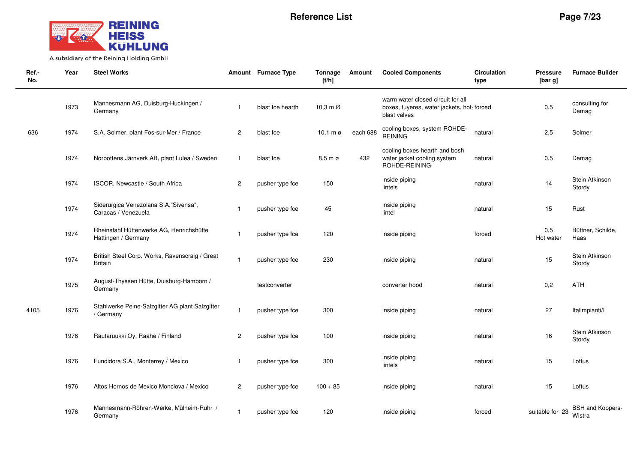

 $\sim$ 

| Ref.-<br>No. | Year | <b>Steel Works</b>                                               |                         | Amount Furnace Type | Tonnage<br>[t/h]              | Amount   | <b>Cooled Components</b>                                                                       | <b>Circulation</b><br>type | <b>Pressure</b><br>[bar g] | <b>Furnace Builder</b>     |
|--------------|------|------------------------------------------------------------------|-------------------------|---------------------|-------------------------------|----------|------------------------------------------------------------------------------------------------|----------------------------|----------------------------|----------------------------|
|              | 1973 | Mannesmann AG, Duisburg-Huckingen /<br>Germany                   | $\overline{\mathbf{1}}$ | blast fce hearth    | 10.3 m $\varnothing$          |          | warm water closed circuit for all<br>boxes, tuyeres, water jackets, hot-forced<br>blast valves |                            | 0,5                        | consulting for<br>Demag    |
| 636          | 1974 | S.A. Solmer, plant Fos-sur-Mer / France                          | $\overline{2}$          | blast fce           | $10,1 \text{ m } \varnothing$ | each 688 | cooling boxes, system ROHDE-<br><b>REINING</b>                                                 | natural                    | 2,5                        | Solmer                     |
|              | 1974 | Norbottens Järnverk AB, plant Lulea / Sweden                     | $\mathbf{1}$            | blast fce           | $8,5 \text{ m } \varnothing$  | 432      | cooling boxes hearth and bosh<br>water jacket cooling system<br>ROHDE-REINING                  | natural                    | 0,5                        | Demag                      |
|              | 1974 | ISCOR, Newcastle / South Africa                                  | $\overline{2}$          | pusher type fce     | 150                           |          | inside piping<br>lintels                                                                       | natural                    | 14                         | Stein Atkinson<br>Stordy   |
|              | 1974 | Siderurgica Venezolana S.A."Sivensa",<br>Caracas / Venezuela     | $\overline{\mathbf{1}}$ | pusher type fce     | 45                            |          | inside piping<br>lintel                                                                        | natural                    | 15                         | Rust                       |
|              | 1974 | Rheinstahl Hüttenwerke AG, Henrichshütte<br>Hattingen / Germany  |                         | pusher type fce     | 120                           |          | inside piping                                                                                  | forced                     | 0,5<br>Hot water           | Büttner, Schilde,<br>Haas  |
|              | 1974 | British Steel Corp. Works, Ravenscraig / Great<br><b>Britain</b> | $\overline{1}$          | pusher type fce     | 230                           |          | inside piping                                                                                  | natural                    | 15                         | Stein Atkinson<br>Stordy   |
|              | 1975 | August-Thyssen Hütte, Duisburg-Hamborn /<br>Germany              |                         | testconverter       |                               |          | converter hood                                                                                 | natural                    | 0,2                        | ATH                        |
| 4105         | 1976 | Stahlwerke Peine-Salzgitter AG plant Salzgitter<br>/ Germany     | $\mathbf{1}$            | pusher type fce     | 300                           |          | inside piping                                                                                  | natural                    | 27                         | Italimpianti/I             |
|              | 1976 | Rautaruukki Oy, Raahe / Finland                                  | $\overline{c}$          | pusher type fce     | 100                           |          | inside piping                                                                                  | natural                    | 16                         | Stein Atkinson<br>Stordy   |
|              | 1976 | Fundidora S.A., Monterrey / Mexico                               | -1                      | pusher type fce     | 300                           |          | inside piping<br>lintels                                                                       | natural                    | 15                         | Loftus                     |
|              | 1976 | Altos Hornos de Mexico Monclova / Mexico                         | $\overline{c}$          | pusher type fce     | $100 + 85$                    |          | inside piping                                                                                  | natural                    | 15                         | Loftus                     |
|              | 1976 | Mannesmann-Röhren-Werke, Mülheim-Ruhr /<br>Germany               | -1                      | pusher type fce     | 120                           |          | inside piping                                                                                  | forced                     | suitable for 23            | BSH and Koppers-<br>Wistra |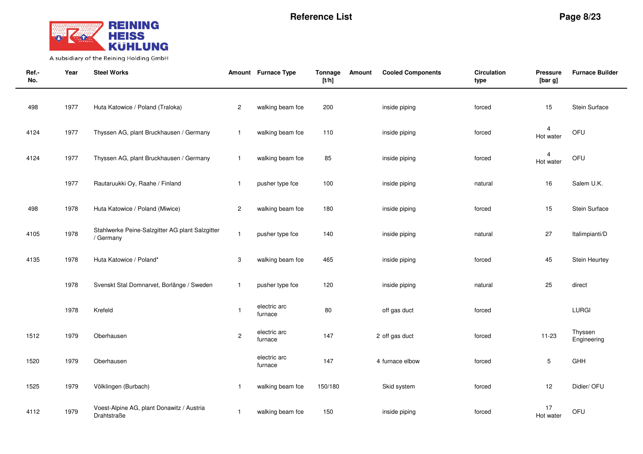

| Ref.-<br>No. | Year | <b>Steel Works</b>                                           |                | Amount Furnace Type     | Tonnage<br>[t/h] | Amount | <b>Cooled Components</b> | <b>Circulation</b><br>type | <b>Pressure</b><br>[bar g]  | <b>Furnace Builder</b> |
|--------------|------|--------------------------------------------------------------|----------------|-------------------------|------------------|--------|--------------------------|----------------------------|-----------------------------|------------------------|
| 498          | 1977 | Huta Katowice / Poland (Traloka)                             | $\overline{c}$ | walking beam fce        | 200              |        | inside piping            | forced                     | 15                          | Stein Surface          |
| 4124         | 1977 | Thyssen AG, plant Bruckhausen / Germany                      | $\mathbf{1}$   | walking beam fce        | 110              |        | inside piping            | forced                     | 4<br>Hot water              | OFU                    |
| 4124         | 1977 | Thyssen AG, plant Bruckhausen / Germany                      | $\mathbf{1}$   | walking beam fce        | 85               |        | inside piping            | forced                     | $\overline{4}$<br>Hot water | OFU                    |
|              | 1977 | Rautaruukki Oy, Raahe / Finland                              | $\mathbf{1}$   | pusher type fce         | 100              |        | inside piping            | natural                    | 16                          | Salem U.K.             |
| 498          | 1978 | Huta Katowice / Poland (Miwice)                              | $\overline{c}$ | walking beam fce        | 180              |        | inside piping            | forced                     | 15                          | Stein Surface          |
| 4105         | 1978 | Stahlwerke Peine-Salzgitter AG plant Salzgitter<br>/ Germany | $\mathbf{1}$   | pusher type fce         | 140              |        | inside piping            | natural                    | 27                          | Italimpianti/D         |
| 4135         | 1978 | Huta Katowice / Poland*                                      | 3              | walking beam fce        | 465              |        | inside piping            | forced                     | 45                          | Stein Heurtey          |
|              | 1978 | Svenskt Stal Domnarvet, Borlänge / Sweden                    | $\mathbf{1}$   | pusher type fce         | 120              |        | inside piping            | natural                    | 25                          | direct                 |
|              | 1978 | Krefeld                                                      | $\mathbf{1}$   | electric arc<br>furnace | 80               |        | off gas duct             | forced                     |                             | LURGI                  |
| 1512         | 1979 | Oberhausen                                                   | $\overline{c}$ | electric arc<br>furnace | 147              |        | 2 off gas duct           | forced                     | $11 - 23$                   | Thyssen<br>Engineering |
| 1520         | 1979 | Oberhausen                                                   |                | electric arc<br>furnace | 147              |        | 4 furnace elbow          | forced                     | $\mathbf 5$                 | GHH                    |
| 1525         | 1979 | Völklingen (Burbach)                                         | $\overline{1}$ | walking beam fce        | 150/180          |        | Skid system              | forced                     | 12                          | Didier/ OFU            |
| 4112         | 1979 | Voest-Alpine AG, plant Donawitz / Austria<br>Drahtstraße     | $\mathbf{1}$   | walking beam fce        | 150              |        | inside piping            | forced                     | 17<br>Hot water             | OFU                    |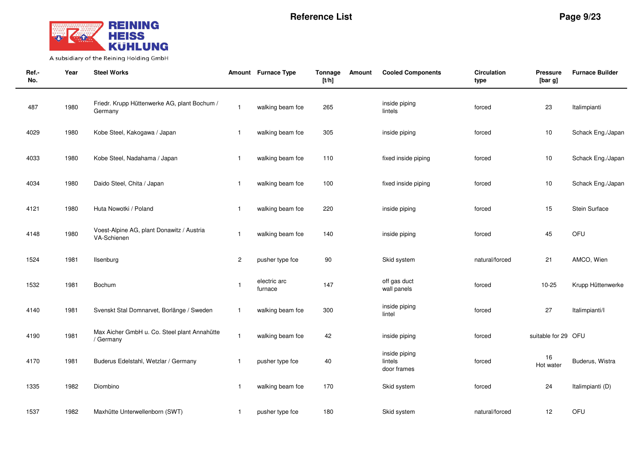

| Ref.-<br>No. | Year | <b>Steel Works</b>                                        |                | Amount Furnace Type     | Tonnage<br>[t/h] | Amount | <b>Cooled Components</b>                | <b>Circulation</b><br>type | <b>Pressure</b><br>[bar g] | <b>Furnace Builder</b> |
|--------------|------|-----------------------------------------------------------|----------------|-------------------------|------------------|--------|-----------------------------------------|----------------------------|----------------------------|------------------------|
| 487          | 1980 | Friedr. Krupp Hüttenwerke AG, plant Bochum /<br>Germany   | $\overline{1}$ | walking beam fce        | 265              |        | inside piping<br>lintels                | forced                     | 23                         | Italimpianti           |
| 4029         | 1980 | Kobe Steel, Kakogawa / Japan                              | $\overline{1}$ | walking beam fce        | 305              |        | inside piping                           | forced                     | 10                         | Schack Eng./Japan      |
| 4033         | 1980 | Kobe Steel, Nadahama / Japan                              | $\overline{1}$ | walking beam fce        | 110              |        | fixed inside piping                     | forced                     | $10$                       | Schack Eng./Japan      |
| 4034         | 1980 | Daido Steel, Chita / Japan                                | $\overline{1}$ | walking beam fce        | 100              |        | fixed inside piping                     | forced                     | 10                         | Schack Eng./Japan      |
| 4121         | 1980 | Huta Nowotki / Poland                                     | $\overline{1}$ | walking beam fce        | 220              |        | inside piping                           | forced                     | 15                         | Stein Surface          |
| 4148         | 1980 | Voest-Alpine AG, plant Donawitz / Austria<br>VA-Schienen  | $\overline{1}$ | walking beam fce        | 140              |        | inside piping                           | forced                     | 45                         | OFU                    |
| 1524         | 1981 | Ilsenburg                                                 | 2              | pusher type fce         | 90               |        | Skid system                             | natural/forced             | 21                         | AMCO, Wien             |
| 1532         | 1981 | Bochum                                                    | $\overline{1}$ | electric arc<br>furnace | 147              |        | off gas duct<br>wall panels             | forced                     | $10 - 25$                  | Krupp Hüttenwerke      |
| 4140         | 1981 | Svenskt Stal Domnarvet, Borlänge / Sweden                 | $\overline{1}$ | walking beam fce        | 300              |        | inside piping<br>lintel                 | forced                     | 27                         | Italimpianti/I         |
| 4190         | 1981 | Max Aicher GmbH u. Co. Steel plant Annahütte<br>/ Germany | $\overline{1}$ | walking beam fce        | 42               |        | inside piping                           | forced                     | suitable for 29 OFU        |                        |
| 4170         | 1981 | Buderus Edelstahl, Wetzlar / Germany                      | $\overline{1}$ | pusher type fce         | 40               |        | inside piping<br>lintels<br>door frames | forced                     | 16<br>Hot water            | Buderus, Wistra        |
| 1335         | 1982 | Diombino                                                  | $\overline{1}$ | walking beam fce        | 170              |        | Skid system                             | forced                     | 24                         | Italimpianti (D)       |
| 1537         | 1982 | Maxhütte Unterwellenborn (SWT)                            | $\overline{1}$ | pusher type fce         | 180              |        | Skid system                             | natural/forced             | 12                         | OFU                    |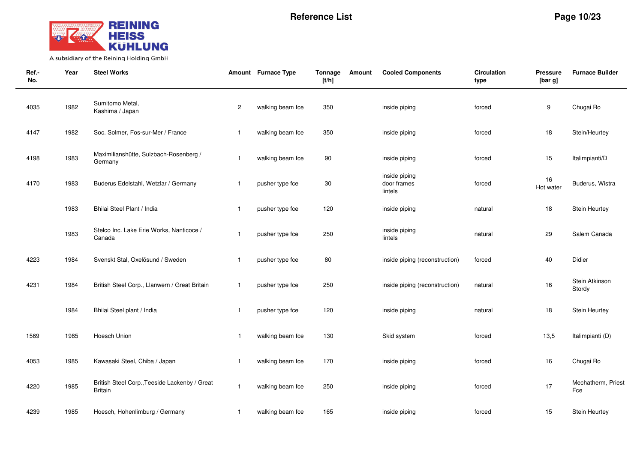

| Ref.-<br>No. | Year | <b>Steel Works</b>                                       |                         | Amount Furnace Type | Tonnage<br>[t/h] | Amount | <b>Cooled Components</b>                | <b>Circulation</b><br>type | <b>Pressure</b><br>[bar g] | <b>Furnace Builder</b>    |
|--------------|------|----------------------------------------------------------|-------------------------|---------------------|------------------|--------|-----------------------------------------|----------------------------|----------------------------|---------------------------|
| 4035         | 1982 | Sumitomo Metal,<br>Kashima / Japan                       | $\overline{\mathbf{c}}$ | walking beam fce    | 350              |        | inside piping                           | forced                     | 9                          | Chugai Ro                 |
| 4147         | 1982 | Soc. Solmer, Fos-sur-Mer / France                        | $\mathbf{1}$            | walking beam fce    | 350              |        | inside piping                           | forced                     | 18                         | Stein/Heurtey             |
| 4198         | 1983 | Maximilianshütte, Sulzbach-Rosenberg /<br>Germany        | $\mathbf{1}$            | walking beam fce    | 90               |        | inside piping                           | forced                     | 15                         | Italimpianti/D            |
| 4170         | 1983 | Buderus Edelstahl, Wetzlar / Germany                     | $\mathbf{1}$            | pusher type fce     | $30\,$           |        | inside piping<br>door frames<br>lintels | forced                     | 16<br>Hot water            | Buderus, Wistra           |
|              | 1983 | Bhilai Steel Plant / India                               | $\mathbf{1}$            | pusher type fce     | 120              |        | inside piping                           | natural                    | 18                         | <b>Stein Heurtey</b>      |
|              | 1983 | Stelco Inc. Lake Erie Works, Nanticoce /<br>Canada       | $\mathbf{1}$            | pusher type fce     | 250              |        | inside piping<br>lintels                | natural                    | 29                         | Salem Canada              |
| 4223         | 1984 | Svenskt Stal, Oxelösund / Sweden                         | $\mathbf{1}$            | pusher type fce     | 80               |        | inside piping (reconstruction)          | forced                     | 40                         | Didier                    |
| 4231         | 1984 | British Steel Corp., Llanwern / Great Britain            | $\mathbf{1}$            | pusher type fce     | 250              |        | inside piping (reconstruction)          | natural                    | 16                         | Stein Atkinson<br>Stordy  |
|              | 1984 | Bhilai Steel plant / India                               | $\mathbf{1}$            | pusher type fce     | 120              |        | inside piping                           | natural                    | 18                         | Stein Heurtey             |
| 1569         | 1985 | Hoesch Union                                             | $\mathbf 1$             | walking beam fce    | 130              |        | Skid system                             | forced                     | 13,5                       | Italimpianti (D)          |
| 4053         | 1985 | Kawasaki Steel, Chiba / Japan                            | $\mathbf{1}$            | walking beam fce    | 170              |        | inside piping                           | forced                     | 16                         | Chugai Ro                 |
| 4220         | 1985 | British Steel Corp., Teeside Lackenby / Great<br>Britain | $\mathbf{1}$            | walking beam fce    | 250              |        | inside piping                           | forced                     | 17                         | Mechatherm, Priest<br>Fce |
| 4239         | 1985 | Hoesch, Hohenlimburg / Germany                           | $\mathbf{1}$            | walking beam fce    | 165              |        | inside piping                           | forced                     | 15                         | Stein Heurtey             |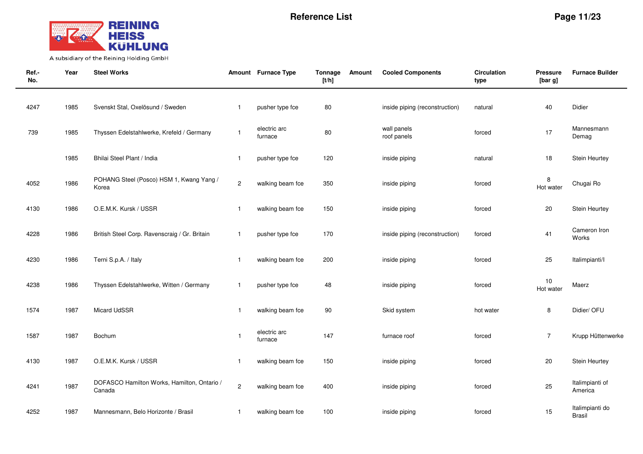

| Ref.-<br>No. | Year | <b>Steel Works</b>                                    |                | Amount Furnace Type     | Tonnage<br>[t/h] | Amount | <b>Cooled Components</b>       | <b>Circulation</b><br>type | <b>Pressure</b><br>[bar g] | <b>Furnace Builder</b>           |
|--------------|------|-------------------------------------------------------|----------------|-------------------------|------------------|--------|--------------------------------|----------------------------|----------------------------|----------------------------------|
| 4247         | 1985 | Svenskt Stal, Oxelösund / Sweden                      | $\mathbf{1}$   | pusher type fce         | 80               |        | inside piping (reconstruction) | natural                    | 40                         | Didier                           |
| 739          | 1985 | Thyssen Edelstahlwerke, Krefeld / Germany             | $\mathbf{1}$   | electric arc<br>furnace | 80               |        | wall panels<br>roof panels     | forced                     | 17                         | Mannesmann<br>Demag              |
|              | 1985 | Bhilai Steel Plant / India                            | $\mathbf{1}$   | pusher type fce         | 120              |        | inside piping                  | natural                    | 18                         | Stein Heurtey                    |
| 4052         | 1986 | POHANG Steel (Posco) HSM 1, Kwang Yang /<br>Korea     | $\sqrt{2}$     | walking beam fce        | 350              |        | inside piping                  | forced                     | 8<br>Hot water             | Chugai Ro                        |
| 4130         | 1986 | O.E.M.K. Kursk / USSR                                 | $\mathbf{1}$   | walking beam fce        | 150              |        | inside piping                  | forced                     | 20                         | <b>Stein Heurtey</b>             |
| 4228         | 1986 | British Steel Corp. Ravenscraig / Gr. Britain         | $\mathbf{1}$   | pusher type fce         | 170              |        | inside piping (reconstruction) | forced                     | 41                         | Cameron Iron<br>Works            |
| 4230         | 1986 | Terni S.p.A. / Italy                                  | $\mathbf{1}$   | walking beam fce        | 200              |        | inside piping                  | forced                     | 25                         | Italimpianti/I                   |
| 4238         | 1986 | Thyssen Edelstahlwerke, Witten / Germany              | $\mathbf{1}$   | pusher type fce         | 48               |        | inside piping                  | forced                     | 10<br>Hot water            | Maerz                            |
| 1574         | 1987 | Micard UdSSR                                          | $\mathbf{1}$   | walking beam fce        | $90\,$           |        | Skid system                    | hot water                  | 8                          | Didier/ OFU                      |
| 1587         | 1987 | Bochum                                                | $\overline{1}$ | electric arc<br>furnace | 147              |        | furnace roof                   | forced                     | $\overline{7}$             | Krupp Hüttenwerke                |
| 4130         | 1987 | O.E.M.K. Kursk / USSR                                 | $\mathbf{1}$   | walking beam fce        | 150              |        | inside piping                  | forced                     | 20                         | <b>Stein Heurtey</b>             |
| 4241         | 1987 | DOFASCO Hamilton Works, Hamilton, Ontario /<br>Canada | $\sqrt{2}$     | walking beam fce        | 400              |        | inside piping                  | forced                     | 25                         | Italimpianti of<br>America       |
| 4252         | 1987 | Mannesmann, Belo Horizonte / Brasil                   | $\mathbf{1}$   | walking beam fce        | 100              |        | inside piping                  | forced                     | 15                         | Italimpianti do<br><b>Brasil</b> |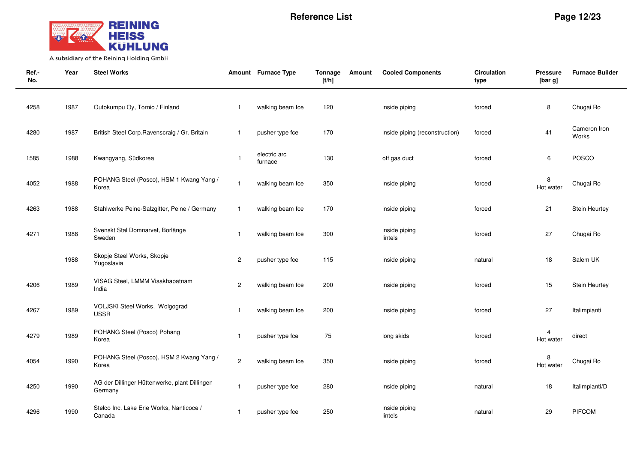

| Ref.-<br>No. | Year | <b>Steel Works</b>                                       |                | Amount Furnace Type     | Tonnage<br>[t/h] | Amount | <b>Cooled Components</b>       | Circulation<br>type | <b>Pressure</b><br>[bar g] | <b>Furnace Builder</b> |
|--------------|------|----------------------------------------------------------|----------------|-------------------------|------------------|--------|--------------------------------|---------------------|----------------------------|------------------------|
| 4258         | 1987 | Outokumpu Oy, Tornio / Finland                           | $\mathbf{1}$   | walking beam fce        | 120              |        | inside piping                  | forced              | 8                          | Chugai Ro              |
| 4280         | 1987 | British Steel Corp. Ravenscraig / Gr. Britain            | $\mathbf{1}$   | pusher type fce         | 170              |        | inside piping (reconstruction) | forced              | 41                         | Cameron Iron<br>Works  |
| 1585         | 1988 | Kwangyang, Südkorea                                      | $\overline{1}$ | electric arc<br>furnace | 130              |        | off gas duct                   | forced              | 6                          | POSCO                  |
| 4052         | 1988 | POHANG Steel (Posco), HSM 1 Kwang Yang /<br>Korea        | $\mathbf{1}$   | walking beam fce        | 350              |        | inside piping                  | forced              | 8<br>Hot water             | Chugai Ro              |
| 4263         | 1988 | Stahlwerke Peine-Salzgitter, Peine / Germany             | $\mathbf{1}$   | walking beam fce        | 170              |        | inside piping                  | forced              | 21                         | Stein Heurtey          |
| 4271         | 1988 | Svenskt Stal Domnarvet, Borlänge<br>Sweden               | $\mathbf{1}$   | walking beam fce        | 300              |        | inside piping<br>lintels       | forced              | 27                         | Chugai Ro              |
|              | 1988 | Skopje Steel Works, Skopje<br>Yugoslavia                 | $\overline{c}$ | pusher type fce         | 115              |        | inside piping                  | natural             | $18$                       | Salem UK               |
| 4206         | 1989 | VISAG Steel, LMMM Visakhapatnam<br>India                 | $\overline{c}$ | walking beam fce        | 200              |        | inside piping                  | forced              | 15                         | Stein Heurtey          |
| 4267         | 1989 | VOLJSKI Steel Works, Wolgograd<br><b>USSR</b>            | $\mathbf{1}$   | walking beam fce        | 200              |        | inside piping                  | forced              | 27                         | Italimpianti           |
| 4279         | 1989 | POHANG Steel (Posco) Pohang<br>Korea                     | $\mathbf{1}$   | pusher type fce         | 75               |        | long skids                     | forced              | 4<br>Hot water             | direct                 |
| 4054         | 1990 | POHANG Steel (Posco), HSM 2 Kwang Yang /<br>Korea        | $\overline{c}$ | walking beam fce        | 350              |        | inside piping                  | forced              | 8<br>Hot water             | Chugai Ro              |
| 4250         | 1990 | AG der Dillinger Hüttenwerke, plant Dillingen<br>Germany | $\mathbf{1}$   | pusher type fce         | 280              |        | inside piping                  | natural             | 18                         | Italimpianti/D         |
| 4296         | 1990 | Stelco Inc. Lake Erie Works, Nanticoce /<br>Canada       | $\mathbf{1}$   | pusher type fce         | 250              |        | inside piping<br>lintels       | natural             | 29                         | <b>PIFCOM</b>          |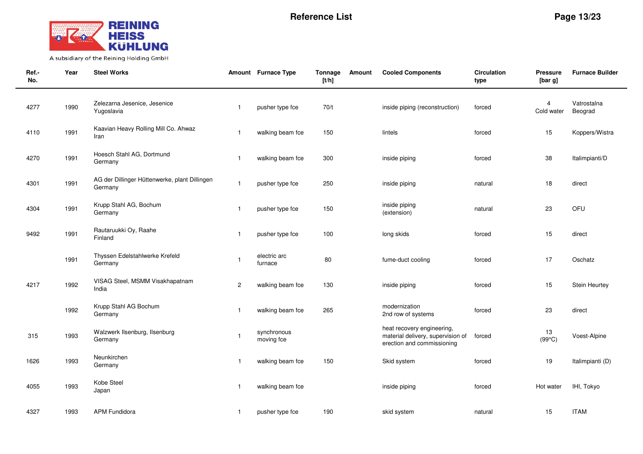

| Ref.-<br>No. | Year | <b>Steel Works</b>                                       |                | Amount Furnace Type       | Tonnage<br>[t/h] | Amount | <b>Cooled Components</b>                                                                      | <b>Circulation</b><br>type | <b>Pressure</b><br>[bar g]   | <b>Furnace Builder</b> |
|--------------|------|----------------------------------------------------------|----------------|---------------------------|------------------|--------|-----------------------------------------------------------------------------------------------|----------------------------|------------------------------|------------------------|
| 4277         | 1990 | Zelezarna Jesenice, Jesenice<br>Yugoslavia               | $\mathbf{1}$   | pusher type fce           | 70/t             |        | inside piping (reconstruction)                                                                | forced                     | $\overline{4}$<br>Cold water | Vatrostalna<br>Beograd |
| 4110         | 1991 | Kaavian Heavy Rolling Mill Co. Ahwaz<br>Iran             | $\overline{1}$ | walking beam fce          | 150              |        | lintels                                                                                       | forced                     | 15                           | Koppers/Wistra         |
| 4270         | 1991 | Hoesch Stahl AG, Dortmund<br>Germany                     | $\mathbf{1}$   | walking beam fce          | 300              |        | inside piping                                                                                 | forced                     | 38                           | Italimpianti/D         |
| 4301         | 1991 | AG der Dillinger Hüttenwerke, plant Dillingen<br>Germany | $\mathbf{1}$   | pusher type fce           | 250              |        | inside piping                                                                                 | natural                    | 18                           | direct                 |
| 4304         | 1991 | Krupp Stahl AG, Bochum<br>Germany                        | $\mathbf{1}$   | pusher type fce           | 150              |        | inside piping<br>(extension)                                                                  | natural                    | 23                           | OFU                    |
| 9492         | 1991 | Rautaruukki Oy, Raahe<br>Finland                         | $\mathbf{1}$   | pusher type fce           | 100              |        | long skids                                                                                    | forced                     | 15                           | direct                 |
|              | 1991 | Thyssen Edelstahlwerke Krefeld<br>Germany                | $\mathbf{1}$   | electric arc<br>furnace   | 80               |        | fume-duct cooling                                                                             | forced                     | 17                           | Oschatz                |
| 4217         | 1992 | VISAG Steel, MSMM Visakhapatnam<br>India                 | $\mathbf{2}$   | walking beam fce          | 130              |        | inside piping                                                                                 | forced                     | 15                           | Stein Heurtey          |
|              | 1992 | Krupp Stahl AG Bochum<br>Germany                         | $\mathbf{1}$   | walking beam fce          | 265              |        | modernization<br>2nd row of systems                                                           | forced                     | 23                           | direct                 |
| 315          | 1993 | Walzwerk Ilsenburg, Ilsenburg<br>Germany                 | $\mathbf{1}$   | synchronous<br>moving fce |                  |        | heat recovery engineering,<br>material delivery, supervision of<br>erection and commissioning | forced                     | 13<br>$(99^{\circ}C)$        | Voest-Alpine           |
| 1626         | 1993 | Neunkirchen<br>Germany                                   | $\mathbf{1}$   | walking beam fce          | 150              |        | Skid system                                                                                   | forced                     | 19                           | Italimpianti (D)       |
| 4055         | 1993 | Kobe Steel<br>Japan                                      | -1             | walking beam fce          |                  |        | inside piping                                                                                 | forced                     | Hot water                    | IHI, Tokyo             |
| 4327         | 1993 | <b>APM Fundidora</b>                                     | $\mathbf{1}$   | pusher type fce           | 190              |        | skid system                                                                                   | natural                    | 15                           | <b>ITAM</b>            |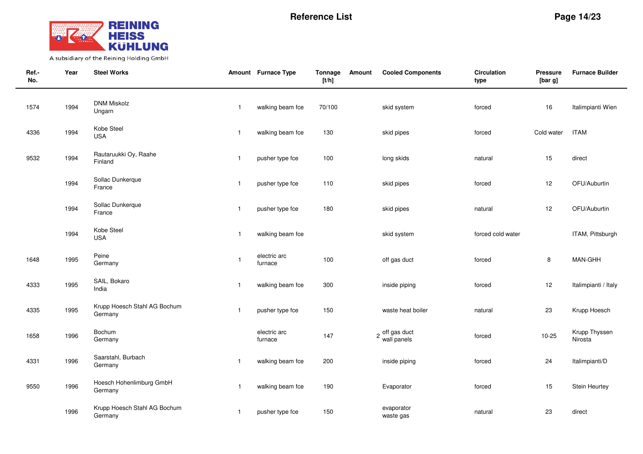

| Ref.-<br>No. | Year | <b>Steel Works</b>                      |                | Amount Furnace Type     | Tonnage<br>[t/h] | Amount | <b>Cooled Components</b>      | <b>Circulation</b><br>type | <b>Pressure</b><br>[bar g] | <b>Furnace Builder</b>   |
|--------------|------|-----------------------------------------|----------------|-------------------------|------------------|--------|-------------------------------|----------------------------|----------------------------|--------------------------|
| 1574         | 1994 | <b>DNM Miskolz</b><br>Ungarn            | $\mathbf{1}$   | walking beam fce        | 70/100           |        | skid system                   | forced                     | 16                         | Italimpianti Wien        |
| 4336         | 1994 | Kobe Steel<br><b>USA</b>                | $\overline{1}$ | walking beam fce        | 130              |        | skid pipes                    | forced                     | Cold water                 | <b>ITAM</b>              |
| 9532         | 1994 | Rautaruukki Oy, Raahe<br>Finland        | $\mathbf{1}$   | pusher type fce         | 100              |        | long skids                    | natural                    | 15                         | direct                   |
|              | 1994 | Sollac Dunkerque<br>France              | $\mathbf{1}$   | pusher type fce         | 110              |        | skid pipes                    | forced                     | 12                         | OFU/Auburtin             |
|              | 1994 | Sollac Dunkerque<br>France              | $\mathbf{1}$   | pusher type fce         | 180              |        | skid pipes                    | natural                    | 12                         | OFU/Auburtin             |
|              | 1994 | Kobe Steel<br><b>USA</b>                | $\mathbf{1}$   | walking beam fce        |                  |        | skid system                   | forced cold water          |                            | ITAM, Pittsburgh         |
| 1648         | 1995 | Peine<br>Germany                        | $\mathbf{1}$   | electric arc<br>furnace | 100              |        | off gas duct                  | forced                     | $\,8\,$                    | MAN-GHH                  |
| 4333         | 1995 | SAIL, Bokaro<br>India                   | $\mathbf{1}$   | walking beam fce        | 300              |        | inside piping                 | forced                     | 12                         | Italimpianti / Italy     |
| 4335         | 1995 | Krupp Hoesch Stahl AG Bochum<br>Germany | $\mathbf{1}$   | pusher type fce         | 150              |        | waste heat boiler             | natural                    | 23                         | Krupp Hoesch             |
| 1658         | 1996 | Bochum<br>Germany                       |                | electric arc<br>furnace | 147              |        | 2 off gas duct<br>wall panels | forced                     | $10 - 25$                  | Krupp Thyssen<br>Nirosta |
| 4331         | 1996 | Saarstahl, Burbach<br>Germany           | $\mathbf{1}$   | walking beam fce        | 200              |        | inside piping                 | forced                     | 24                         | Italimpianti/D           |
| 9550         | 1996 | Hoesch Hohenlimburg GmbH<br>Germany     | $\mathbf{1}$   | walking beam fce        | 190              |        | Evaporator                    | forced                     | 15                         | Stein Heurtey            |
|              | 1996 | Krupp Hoesch Stahl AG Bochum<br>Germany | $\mathbf{1}$   | pusher type fce         | 150              |        | evaporator<br>waste gas       | natural                    | 23                         | direct                   |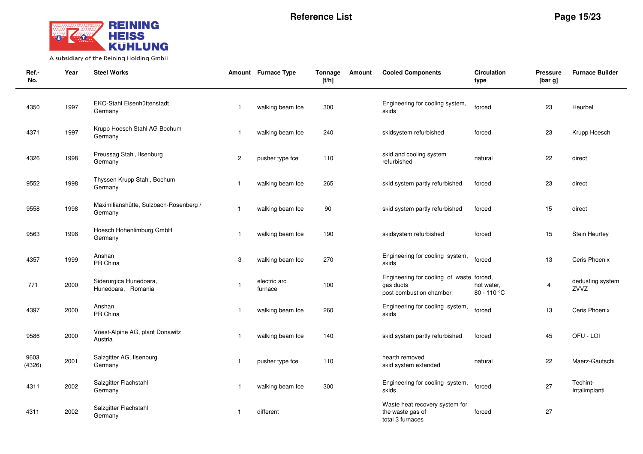

| Ref.-<br>No.   | Year | <b>Steel Works</b>                                |                         | Amount Furnace Type     | Tonnage<br>[t/h] | Amount | <b>Cooled Components</b>                                                         | <b>Circulation</b><br>type | <b>Pressure</b><br>[bar g] | <b>Furnace Builder</b>    |
|----------------|------|---------------------------------------------------|-------------------------|-------------------------|------------------|--------|----------------------------------------------------------------------------------|----------------------------|----------------------------|---------------------------|
| 4350           | 1997 | EKO-Stahl Eisenhüttenstadt<br>Germany             | -1                      | walking beam fce        | 300              |        | Engineering for cooling system,<br>skids                                         | forced                     | 23                         | Heurbel                   |
| 4371           | 1997 | Krupp Hoesch Stahl AG Bochum<br>Germany           | -1                      | walking beam fce        | 240              |        | skidsystem refurbished                                                           | forced                     | 23                         | Krupp Hoesch              |
| 4326           | 1998 | Preussag Stahl, Ilsenburg<br>Germany              | $\mathbf{2}$            | pusher type fce         | 110              |        | skid and cooling system<br>refurbished                                           | natural                    | 22                         | direct                    |
| 9552           | 1998 | Thyssen Krupp Stahl, Bochum<br>Germany            |                         | walking beam fce        | 265              |        | skid system partly refurbished                                                   | forced                     | 23                         | direct                    |
| 9558           | 1998 | Maximilianshütte, Sulzbach-Rosenberg /<br>Germany | $\mathbf{1}$            | walking beam fce        | 90               |        | skid system partly refurbished                                                   | forced                     | 15                         | direct                    |
| 9563           | 1998 | Hoesch Hohenlimburg GmbH<br>Germany               | $\overline{\mathbf{1}}$ | walking beam fce        | 190              |        | skidsystem refurbished                                                           | forced                     | 15                         | Stein Heurtey             |
| 4357           | 1999 | Anshan<br>PR China                                | 3                       | walking beam fce        | 270              |        | Engineering for cooling system,<br>skids                                         | forced                     | 13                         | Ceris Phoenix             |
| 771            | 2000 | Siderurgica Hunedoara,<br>Hunedoara, Romania      | $\mathbf{1}$            | electric arc<br>furnace | 100              |        | Engineering for cooling of waste forced,<br>gas ducts<br>post combustion chamber | hot water,<br>80 - 110 °C  | 4                          | dedusting system<br>ZVVZ  |
| 4397           | 2000 | Anshan<br>PR China                                | -1                      | walking beam fce        | 260              |        | Engineering for cooling system,<br>skids                                         | forced                     | 13                         | Ceris Phoenix             |
| 9586           | 2000 | Voest-Alpine AG, plant Donawitz<br>Austria        | $\overline{\mathbf{1}}$ | walking beam fce        | 140              |        | skid system partly refurbished                                                   | forced                     | 45                         | OFU - LOI                 |
| 9603<br>(4326) | 2001 | Salzgitter AG, Ilsenburg<br>Germany               | -1                      | pusher type fce         | 110              |        | hearth removed<br>skid system extended                                           | natural                    | 22                         | Maerz-Gautschi            |
| 4311           | 2002 | Salzgitter Flachstahl<br>Germany                  | $\mathbf{1}$            | walking beam fce        | 300              |        | Engineering for cooling system,<br>skids                                         | forced                     | 27                         | Techint-<br>Intalimpianti |
| 4311           | 2002 | Salzgitter Flachstahl<br>Germany                  |                         | different               |                  |        | Waste heat recovery system for<br>the waste gas of<br>total 3 furnaces           | forced                     | 27                         |                           |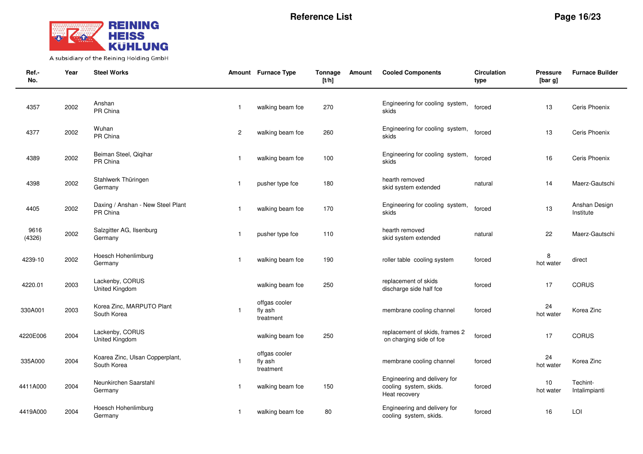

| Ref.-<br>No.   | Year | <b>Steel Works</b>                             |                | Amount Furnace Type                   | Tonnage<br>[t/h] | Amount | <b>Cooled Components</b>                                                | <b>Circulation</b><br>type | <b>Pressure</b><br>[bar g] | <b>Furnace Builder</b>     |
|----------------|------|------------------------------------------------|----------------|---------------------------------------|------------------|--------|-------------------------------------------------------------------------|----------------------------|----------------------------|----------------------------|
| 4357           | 2002 | Anshan<br>PR China                             | $\mathbf{1}$   | walking beam fce                      | 270              |        | Engineering for cooling system,<br>skids                                | forced                     | 13                         | Ceris Phoenix              |
| 4377           | 2002 | Wuhan<br>PR China                              | $\overline{c}$ | walking beam fce                      | 260              |        | Engineering for cooling system,<br>skids                                | forced                     | 13                         | Ceris Phoenix              |
| 4389           | 2002 | Beiman Steel, Qiqihar<br>PR China              | $\overline{1}$ | walking beam fce                      | 100              |        | Engineering for cooling system,<br>skids                                | forced                     | 16                         | Ceris Phoenix              |
| 4398           | 2002 | Stahlwerk Thüringen<br>Germany                 | $\mathbf{1}$   | pusher type fce                       | 180              |        | hearth removed<br>skid system extended                                  | natural                    | 14                         | Maerz-Gautschi             |
| 4405           | 2002 | Daxing / Anshan - New Steel Plant<br>PR China  |                | walking beam fce                      | 170              |        | Engineering for cooling system,<br>skids                                | forced                     | 13                         | Anshan Design<br>Institute |
| 9616<br>(4326) | 2002 | Salzgitter AG, Ilsenburg<br>Germany            | $\overline{1}$ | pusher type fce                       | 110              |        | hearth removed<br>skid system extended                                  | natural                    | 22                         | Maerz-Gautschi             |
| 4239-10        | 2002 | Hoesch Hohenlimburg<br>Germany                 | $\overline{1}$ | walking beam fce                      | 190              |        | roller table cooling system                                             | forced                     | 8<br>hot water             | direct                     |
| 4220.01        | 2003 | Lackenby, CORUS<br>United Kingdom              |                | walking beam fce                      | 250              |        | replacement of skids<br>discharge side half fce                         | forced                     | 17                         | <b>CORUS</b>               |
| 330A001        | 2003 | Korea Zinc, MARPUTO Plant<br>South Korea       | $\overline{1}$ | offgas cooler<br>fly ash<br>treatment |                  |        | membrane cooling channel                                                | forced                     | 24<br>hot water            | Korea Zinc                 |
| 4220E006       | 2004 | Lackenby, CORUS<br>United Kingdom              |                | walking beam fce                      | 250              |        | replacement of skids, frames 2<br>on charging side of fce               | forced                     | 17                         | <b>CORUS</b>               |
| 335A000        | 2004 | Koarea Zinc, Ulsan Copperplant,<br>South Korea | $\overline{1}$ | offgas cooler<br>fly ash<br>treatment |                  |        | membrane cooling channel                                                | forced                     | 24<br>hot water            | Korea Zinc                 |
| 4411A000       | 2004 | Neunkirchen Saarstahl<br>Germany               | -1             | walking beam fce                      | 150              |        | Engineering and delivery for<br>cooling system, skids.<br>Heat recovery | forced                     | $10$<br>hot water          | Techint-<br>Intalimpianti  |
| 4419A000       | 2004 | Hoesch Hohenlimburg<br>Germany                 | $\mathbf{1}$   | walking beam fce                      | 80               |        | Engineering and delivery for<br>cooling system, skids.                  | forced                     | 16                         | LOI                        |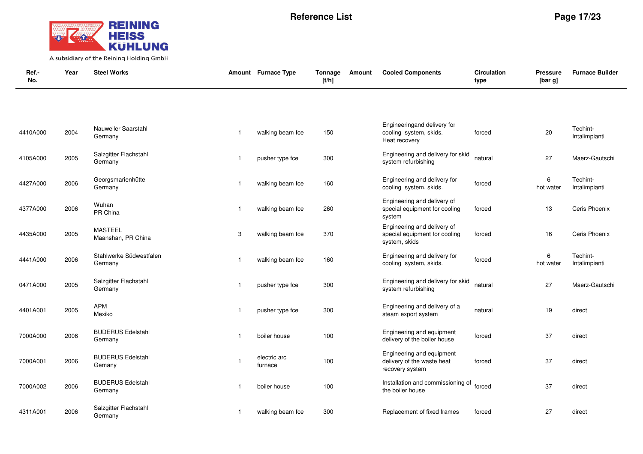

| Ref.-<br>No. | Year | <b>Steel Works</b>                   |                | Amount Furnace Type     | Tonnage<br>[t/h] | Amount | <b>Cooled Components</b>                                                      | <b>Circulation</b><br>type | Pressure<br>[bar g] | <b>Furnace Builder</b>    |
|--------------|------|--------------------------------------|----------------|-------------------------|------------------|--------|-------------------------------------------------------------------------------|----------------------------|---------------------|---------------------------|
|              |      |                                      |                |                         |                  |        |                                                                               |                            |                     |                           |
| 4410A000     | 2004 | Nauweiler Saarstahl<br>Germany       | $\overline{1}$ | walking beam fce        | 150              |        | Engineeringand delivery for<br>cooling system, skids.<br>Heat recovery        | forced                     | 20                  | Techint-<br>Intalimpianti |
| 4105A000     | 2005 | Salzgitter Flachstahl<br>Germany     | $\overline{1}$ | pusher type fce         | 300              |        | Engineering and delivery for skid<br>system refurbishing                      | natural                    | 27                  | Maerz-Gautschi            |
| 4427A000     | 2006 | Georgsmarienhütte<br>Germany         | $\overline{1}$ | walking beam fce        | 160              |        | Engineering and delivery for<br>cooling system, skids.                        | forced                     | 6<br>hot water      | Techint-<br>Intalimpianti |
| 4377A000     | 2006 | Wuhan<br>PR China                    | $\mathbf{1}$   | walking beam fce        | 260              |        | Engineering and delivery of<br>special equipment for cooling<br>system        | forced                     | 13                  | Ceris Phoenix             |
| 4435A000     | 2005 | <b>MASTEEL</b><br>Maanshan, PR China | 3              | walking beam fce        | 370              |        | Engineering and delivery of<br>special equipment for cooling<br>system, skids | forced                     | 16                  | Ceris Phoenix             |
| 4441A000     | 2006 | Stahlwerke Südwestfalen<br>Germany   | $\mathbf{1}$   | walking beam fce        | 160              |        | Engineering and delivery for<br>cooling system, skids.                        | forced                     | 6<br>hot water      | Techint-<br>Intalimpianti |
| 0471A000     | 2005 | Salzgitter Flachstahl<br>Germany     | $\overline{1}$ | pusher type fce         | 300              |        | Engineering and delivery for skid<br>system refurbishing                      | natural                    | 27                  | Maerz-Gautschi            |
| 4401A001     | 2005 | <b>APM</b><br>Mexiko                 | $\mathbf{1}$   | pusher type fce         | 300              |        | Engineering and delivery of a<br>steam export system                          | natural                    | 19                  | direct                    |
| 7000A000     | 2006 | <b>BUDERUS Edelstahl</b><br>Germany  | $\mathbf{1}$   | boiler house            | 100              |        | Engineering and equipment<br>delivery of the boiler house                     | forced                     | 37                  | direct                    |
| 7000A001     | 2006 | <b>BUDERUS Edelstahl</b><br>Gemany   | $\overline{1}$ | electric arc<br>furnace | 100              |        | Engineering and equipment<br>delivery of the waste heat<br>recovery system    | forced                     | 37                  | direct                    |
| 7000A002     | 2006 | <b>BUDERUS Edelstahl</b><br>Germany  | -1             | boiler house            | 100              |        | Installation and commissioning of<br>the boiler house                         | forced                     | 37                  | direct                    |
| 4311A001     | 2006 | Salzgitter Flachstahl<br>Germany     | -1             | walking beam fce        | 300              |        | Replacement of fixed frames                                                   | forced                     | 27                  | direct                    |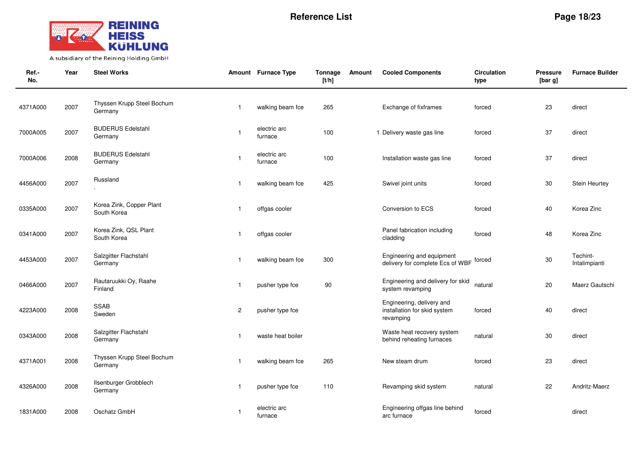

| Ref.-<br>No. | Year | <b>Steel Works</b>                      |                | Amount Furnace Type     | Tonnage<br>[t/h] | <b>Cooled Components</b><br>Amount                                     | <b>Circulation</b><br>type | <b>Pressure</b><br>[bar g] | <b>Furnace Builder</b>    |
|--------------|------|-----------------------------------------|----------------|-------------------------|------------------|------------------------------------------------------------------------|----------------------------|----------------------------|---------------------------|
| 4371A000     | 2007 | Thyssen Krupp Steel Bochum<br>Germany   | $\overline{1}$ | walking beam fce        | 265              | Exchange of fixframes                                                  | forced                     | 23                         | direct                    |
| 7000A005     | 2007 | <b>BUDERUS Edelstahl</b><br>Germany     | $\overline{1}$ | electric arc<br>furnace | 100              | 1 Delivery waste gas line                                              | forced                     | 37                         | direct                    |
| 7000A006     | 2008 | <b>BUDERUS Edelstahl</b><br>Germany     | $\overline{1}$ | electric arc<br>furnace | 100              | Installation waste gas line                                            | forced                     | 37                         | direct                    |
| 4456A000     | 2007 | Russland                                | $\overline{1}$ | walking beam fce        | 425              | Swivel joint units                                                     | forced                     | 30                         | Stein Heurtey             |
| 0335A000     | 2007 | Korea Zink, Copper Plant<br>South Korea | $\mathbf{1}$   | offgas cooler           |                  | Conversion to ECS                                                      | forced                     | 40                         | Korea Zinc                |
| 0341A000     | 2007 | Korea Zink, QSL Plant<br>South Korea    | $\overline{1}$ | offgas cooler           |                  | Panel fabrication including<br>cladding                                | forced                     | 48                         | Korea Zinc                |
| 4453A000     | 2007 | Salzgitter Flachstahl<br>Germany        | $\overline{1}$ | walking beam fce        | 300              | Engineering and equipment<br>delivery for complete Ecs of WBF          | forced                     | 30                         | Techint-<br>Intalimpianti |
| 0466A000     | 2007 | Rautaruukki Oy, Raahe<br>Finland        | $\mathbf{1}$   | pusher type fce         | 90               | Engineering and delivery for skid<br>system revamping                  | natural                    | 20                         | Maerz Gautschi            |
| 4223A000     | 2008 | <b>SSAB</b><br>Sweden                   | $\overline{c}$ | pusher type fce         |                  | Engineering, delivery and<br>installation for skid system<br>revamping | forced                     | 40                         | direct                    |
| 0343A000     | 2008 | Salzgitter Flachstahl<br>Germany        | $\mathbf{1}$   | waste heat boiler       |                  | Waste heat recovery system<br>behind reheating furnaces                | natural                    | 30                         | direct                    |
| 4371A001     | 2008 | Thyssen Krupp Steel Bochum<br>Germany   | -1             | walking beam fce        | 265              | New steam drum                                                         | forced                     | 23                         | direct                    |
| 4326A000     | 2008 | Ilsenburger Grobblech<br>Germany        | $\overline{1}$ | pusher type fce         | 110              | Revamping skid system                                                  | natural                    | 22                         | Andritz-Maerz             |
| 1831A000     | 2008 | Oschatz GmbH                            | $\overline{1}$ | electric arc<br>furnace |                  | Engineering offgas line behind<br>arc furnace                          | forced                     |                            | direct                    |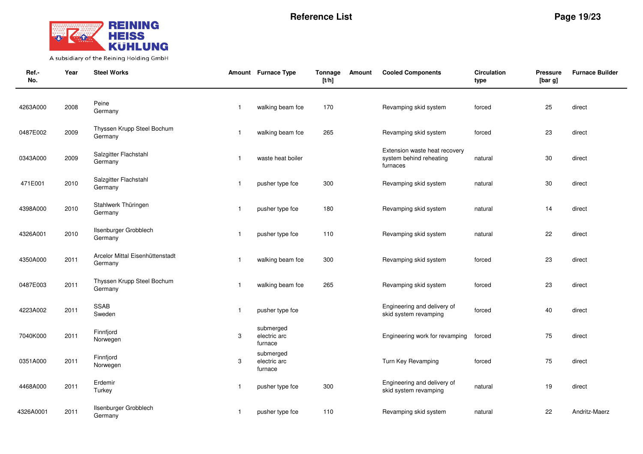

| Ref.-<br>No. | Year | <b>Steel Works</b>                         |                           | Amount Furnace Type                  | Tonnage<br>[t/h] | Amount | <b>Cooled Components</b>                                             | <b>Circulation</b><br>type | <b>Pressure</b><br>[bar g] | <b>Furnace Builder</b> |
|--------------|------|--------------------------------------------|---------------------------|--------------------------------------|------------------|--------|----------------------------------------------------------------------|----------------------------|----------------------------|------------------------|
| 4263A000     | 2008 | Peine<br>Germany                           | $\overline{1}$            | walking beam fce                     | 170              |        | Revamping skid system                                                | forced                     | 25                         | direct                 |
| 0487E002     | 2009 | Thyssen Krupp Steel Bochum<br>Germany      | -1                        | walking beam fce                     | 265              |        | Revamping skid system                                                | forced                     | 23                         | direct                 |
| 0343A000     | 2009 | Salzgitter Flachstahl<br>Germany           | $\mathbf{1}$              | waste heat boiler                    |                  |        | Extension waste heat recovery<br>system behind reheating<br>furnaces | natural                    | 30                         | direct                 |
| 471E001      | 2010 | Salzgitter Flachstahl<br>Germany           | $\overline{1}$            | pusher type fce                      | 300              |        | Revamping skid system                                                | natural                    | 30                         | direct                 |
| 4398A000     | 2010 | Stahlwerk Thüringen<br>Germany             | $\overline{1}$            | pusher type fce                      | 180              |        | Revamping skid system                                                | natural                    | 14                         | direct                 |
| 4326A001     | 2010 | Ilsenburger Grobblech<br>Germany           | $\overline{1}$            | pusher type fce                      | 110              |        | Revamping skid system                                                | natural                    | 22                         | direct                 |
| 4350A000     | 2011 | Arcelor Mittal Eisenhüttenstadt<br>Germany | $\mathbf 1$               | walking beam fce                     | 300              |        | Revamping skid system                                                | forced                     | 23                         | direct                 |
| 0487E003     | 2011 | Thyssen Krupp Steel Bochum<br>Germany      | $\mathbf{1}$              | walking beam fce                     | 265              |        | Revamping skid system                                                | forced                     | 23                         | direct                 |
| 4223A002     | 2011 | <b>SSAB</b><br>Sweden                      | $\mathbf{1}$              | pusher type fce                      |                  |        | Engineering and delivery of<br>skid system revamping                 | forced                     | 40                         | direct                 |
| 7040K000     | 2011 | Finnfjord<br>Norwegen                      | 3                         | submerged<br>electric arc<br>furnace |                  |        | Engineering work for revamping                                       | forced                     | 75                         | direct                 |
| 0351A000     | 2011 | Finnfjord<br>Norwegen                      | $\ensuremath{\mathsf{3}}$ | submerged<br>electric arc<br>furnace |                  |        | Turn Key Revamping                                                   | forced                     | 75                         | direct                 |
| 4468A000     | 2011 | Erdemir<br>Turkey                          | $\mathbf{1}$              | pusher type fce                      | 300              |        | Engineering and delivery of<br>skid system revamping                 | natural                    | 19                         | direct                 |
| 4326A0001    | 2011 | Ilsenburger Grobblech<br>Germany           | $\mathbf{1}$              | pusher type fce                      | 110              |        | Revamping skid system                                                | natural                    | 22                         | Andritz-Maerz          |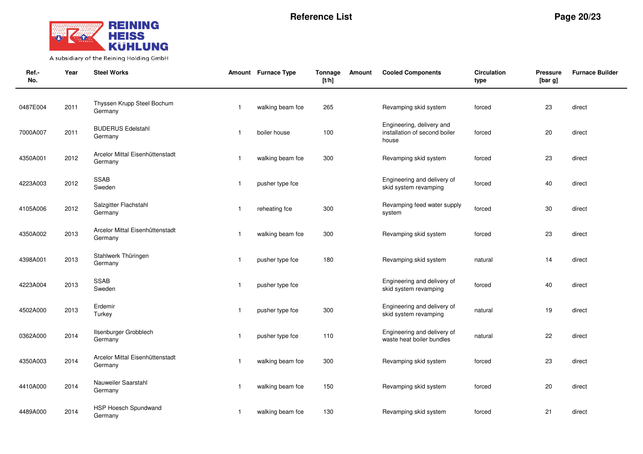

| Ref.-<br>No. | Year | <b>Steel Works</b>                         |                         | Amount Furnace Type | Tonnage<br>[t/h] | Amount | <b>Cooled Components</b>                                            | <b>Circulation</b><br>type | Pressure<br>[bar g] | <b>Furnace Builder</b> |
|--------------|------|--------------------------------------------|-------------------------|---------------------|------------------|--------|---------------------------------------------------------------------|----------------------------|---------------------|------------------------|
| 0487E004     | 2011 | Thyssen Krupp Steel Bochum<br>Germany      | $\overline{\mathbf{1}}$ | walking beam fce    | 265              |        | Revamping skid system                                               | forced                     | 23                  | direct                 |
| 7000A007     | 2011 | <b>BUDERUS Edelstahl</b><br>Germany        | $\mathbf{1}$            | boiler house        | 100              |        | Engineering, delivery and<br>installation of second boiler<br>house | forced                     | 20                  | direct                 |
| 4350A001     | 2012 | Arcelor Mittal Eisenhüttenstadt<br>Germany | -1                      | walking beam fce    | 300              |        | Revamping skid system                                               | forced                     | 23                  | direct                 |
| 4223A003     | 2012 | SSAB<br>Sweden                             | $\mathbf{1}$            | pusher type fce     |                  |        | Engineering and delivery of<br>skid system revamping                | forced                     | 40                  | direct                 |
| 4105A006     | 2012 | Salzgitter Flachstahl<br>Germany           | $\mathbf{1}$            | reheating fce       | 300              |        | Revamping feed water supply<br>system                               | forced                     | 30                  | direct                 |
| 4350A002     | 2013 | Arcelor Mittal Eisenhüttenstadt<br>Germany | -1                      | walking beam fce    | 300              |        | Revamping skid system                                               | forced                     | 23                  | direct                 |
| 4398A001     | 2013 | Stahlwerk Thüringen<br>Germany             | $\mathbf{1}$            | pusher type fce     | 180              |        | Revamping skid system                                               | natural                    | 14                  | direct                 |
| 4223A004     | 2013 | SSAB<br>Sweden                             | -1                      | pusher type fce     |                  |        | Engineering and delivery of<br>skid system revamping                | forced                     | 40                  | direct                 |
| 4502A000     | 2013 | Erdemir<br>Turkey                          | $\mathbf{1}$            | pusher type fce     | 300              |        | Engineering and delivery of<br>skid system revamping                | natural                    | 19                  | direct                 |
| 0362A000     | 2014 | Ilsenburger Grobblech<br>Germany           | $\mathbf{1}$            | pusher type fce     | 110              |        | Engineering and delivery of<br>waste heat boiler bundles            | natural                    | 22                  | direct                 |
| 4350A003     | 2014 | Arcelor Mittal Eisenhüttenstadt<br>Germany | $\mathbf{1}$            | walking beam fce    | 300              |        | Revamping skid system                                               | forced                     | 23                  | direct                 |
| 4410A000     | 2014 | Nauweiler Saarstahl<br>Germany             | -1                      | walking beam fce    | 150              |        | Revamping skid system                                               | forced                     | 20                  | direct                 |
| 4489A000     | 2014 | HSP Hoesch Spundwand<br>Germany            | $\mathbf{1}$            | walking beam fce    | 130              |        | Revamping skid system                                               | forced                     | 21                  | direct                 |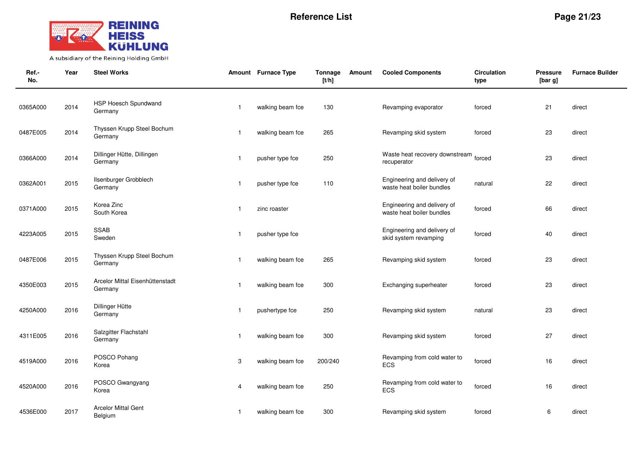

| Ref.-<br>No. | Year | <b>Steel Works</b>                         |              | Amount Furnace Type | Tonnage<br>[t/h] | Amount | <b>Cooled Components</b>                                 | <b>Circulation</b><br>type | <b>Pressure</b><br>[bar g] | <b>Furnace Builder</b> |
|--------------|------|--------------------------------------------|--------------|---------------------|------------------|--------|----------------------------------------------------------|----------------------------|----------------------------|------------------------|
| 0365A000     | 2014 | HSP Hoesch Spundwand<br>Germany            | $\mathbf{1}$ | walking beam fce    | 130              |        | Revamping evaporator                                     | forced                     | 21                         | direct                 |
| 0487E005     | 2014 | Thyssen Krupp Steel Bochum<br>Germany      | $\mathbf{1}$ | walking beam fce    | 265              |        | Revamping skid system                                    | forced                     | 23                         | direct                 |
| 0366A000     | 2014 | Dillinger Hütte, Dillingen<br>Germany      | $\mathbf{1}$ | pusher type fce     | 250              |        | Waste heat recovery downstream<br>recuperator            | forced                     | 23                         | direct                 |
| 0362A001     | 2015 | Ilsenburger Grobblech<br>Germany           | $\mathbf{1}$ | pusher type fce     | 110              |        | Engineering and delivery of<br>waste heat boiler bundles | natural                    | 22                         | direct                 |
| 0371A000     | 2015 | Korea Zinc<br>South Korea                  | $\mathbf{1}$ | zinc roaster        |                  |        | Engineering and delivery of<br>waste heat boiler bundles | forced                     | 66                         | direct                 |
| 4223A005     | 2015 | <b>SSAB</b><br>Sweden                      | $\mathbf{1}$ | pusher type fce     |                  |        | Engineering and delivery of<br>skid system revamping     | forced                     | 40                         | direct                 |
| 0487E006     | 2015 | Thyssen Krupp Steel Bochum<br>Germany      | $\mathbf{1}$ | walking beam fce    | 265              |        | Revamping skid system                                    | forced                     | 23                         | direct                 |
| 4350E003     | 2015 | Arcelor Mittal Eisenhüttenstadt<br>Germany | $\mathbf{1}$ | walking beam fce    | 300              |        | Exchanging superheater                                   | forced                     | 23                         | direct                 |
| 4250A000     | 2016 | Dillinger Hütte<br>Germany                 | $\mathbf{1}$ | pushertype fce      | 250              |        | Revamping skid system                                    | natural                    | 23                         | direct                 |
| 4311E005     | 2016 | Salzgitter Flachstahl<br>Germany           | $\mathbf{1}$ | walking beam fce    | 300              |        | Revamping skid system                                    | forced                     | 27                         | direct                 |
| 4519A000     | 2016 | POSCO Pohang<br>Korea                      | 3            | walking beam fce    | 200/240          |        | Revamping from cold water to<br><b>ECS</b>               | forced                     | 16                         | direct                 |
| 4520A000     | 2016 | POSCO Gwangyang<br>Korea                   | 4            | walking beam fce    | 250              |        | Revamping from cold water to<br>ECS                      | forced                     | 16                         | direct                 |
| 4536E000     | 2017 | <b>Arcelor Mittal Gent</b><br>Belgium      | $\mathbf{1}$ | walking beam fce    | 300              |        | Revamping skid system                                    | forced                     | 6                          | direct                 |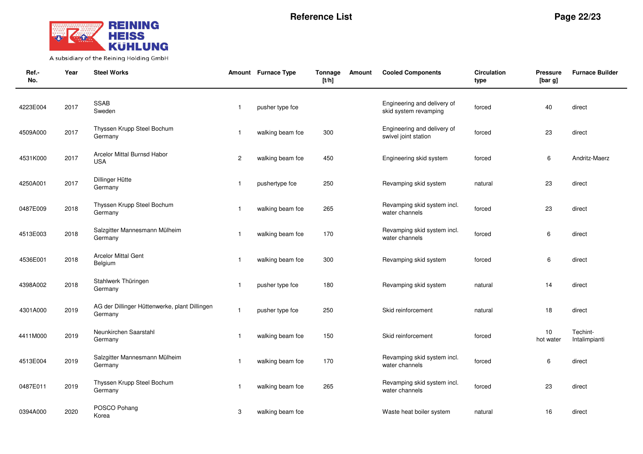

| Ref.-<br>No. | Year | <b>Steel Works</b>                                       |                | Amount Furnace Type | Tonnage<br>[t/h] | Amount | <b>Cooled Components</b>                             | <b>Circulation</b><br>type | Pressure<br>[bar g] | <b>Furnace Builder</b>    |
|--------------|------|----------------------------------------------------------|----------------|---------------------|------------------|--------|------------------------------------------------------|----------------------------|---------------------|---------------------------|
| 4223E004     | 2017 | <b>SSAB</b><br>Sweden                                    | $\overline{1}$ | pusher type fce     |                  |        | Engineering and delivery of<br>skid system revamping | forced                     | 40                  | direct                    |
| 4509A000     | 2017 | Thyssen Krupp Steel Bochum<br>Germany                    | $\mathbf 1$    | walking beam fce    | 300              |        | Engineering and delivery of<br>swivel joint station  | forced                     | 23                  | direct                    |
| 4531K000     | 2017 | Arcelor Mittal Burnsd Habor<br><b>USA</b>                | $\overline{2}$ | walking beam fce    | 450              |        | Engineering skid system                              | forced                     | 6                   | Andritz-Maerz             |
| 4250A001     | 2017 | Dillinger Hütte<br>Germany                               | $\overline{1}$ | pushertype fce      | 250              |        | Revamping skid system                                | natural                    | 23                  | direct                    |
| 0487E009     | 2018 | Thyssen Krupp Steel Bochum<br>Germany                    | -1             | walking beam fce    | 265              |        | Revamping skid system incl.<br>water channels        | forced                     | 23                  | direct                    |
| 4513E003     | 2018 | Salzgitter Mannesmann Mülheim<br>Germany                 | $\mathbf 1$    | walking beam fce    | 170              |        | Revamping skid system incl.<br>water channels        | forced                     | 6                   | direct                    |
| 4536E001     | 2018 | <b>Arcelor Mittal Gent</b><br>Belgium                    | $\overline{1}$ | walking beam fce    | 300              |        | Revamping skid system                                | forced                     | 6                   | direct                    |
| 4398A002     | 2018 | Stahlwerk Thüringen<br>Germany                           | $\mathbf{1}$   | pusher type fce     | 180              |        | Revamping skid system                                | natural                    | 14                  | direct                    |
| 4301A000     | 2019 | AG der Dillinger Hüttenwerke, plant Dillingen<br>Germany | $\overline{1}$ | pusher type fce     | 250              |        | Skid reinforcement                                   | natural                    | 18                  | direct                    |
| 4411M000     | 2019 | Neunkirchen Saarstahl<br>Germany                         | $\mathbf{1}$   | walking beam fce    | 150              |        | Skid reinforcement                                   | forced                     | 10<br>hot water     | Techint-<br>Intalimpianti |
| 4513E004     | 2019 | Salzgitter Mannesmann Mülheim<br>Germany                 | $\overline{1}$ | walking beam fce    | 170              |        | Revamping skid system incl.<br>water channels        | forced                     | 6                   | direct                    |
| 0487E011     | 2019 | Thyssen Krupp Steel Bochum<br>Germany                    | -1             | walking beam fce    | 265              |        | Revamping skid system incl.<br>water channels        | forced                     | 23                  | direct                    |
| 0394A000     | 2020 | POSCO Pohang<br>Korea                                    | 3              | walking beam fce    |                  |        | Waste heat boiler system                             | natural                    | 16                  | direct                    |